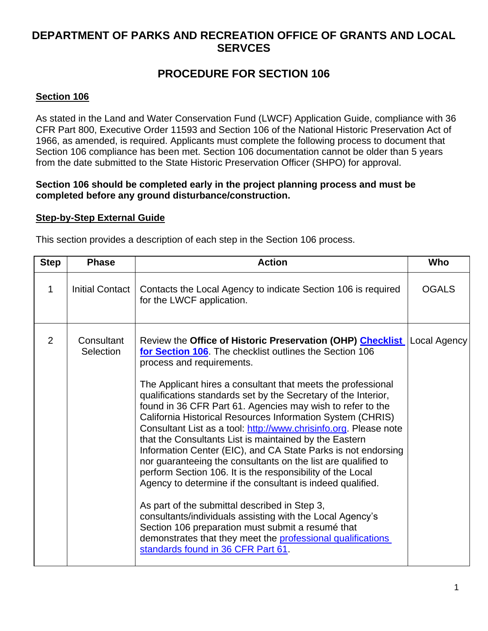## **DEPARTMENT OF PARKS AND RECREATION OFFICE OF GRANTS AND LOCAL SERVCES**

# **PROCEDURE FOR SECTION 106**

## **Section 106**

As stated in the Land and Water Conservation Fund (LWCF) Application Guide, compliance with 36 CFR Part 800, Executive Order 11593 and Section 106 of the National Historic Preservation Act of 1966, as amended, is required. Applicants must complete the following process to document that Section 106 compliance has been met. Section 106 documentation cannot be older than 5 years from the date submitted to the State Historic Preservation Officer (SHPO) for approval.

#### **Section 106 should be completed early in the project planning process and must be completed before any ground disturbance/construction.**

### **Step-by-Step External Guide**

This section provides a description of each step in the Section 106 process.

| <b>Step</b> | <b>Phase</b>            | <b>Action</b>                                                                                                                                                                                                                                                                                                                                                                                                                                                                                                                                                                                                                                                                                                                                                                                                                                                                                                                                                                                                                                                                                       | Who          |
|-------------|-------------------------|-----------------------------------------------------------------------------------------------------------------------------------------------------------------------------------------------------------------------------------------------------------------------------------------------------------------------------------------------------------------------------------------------------------------------------------------------------------------------------------------------------------------------------------------------------------------------------------------------------------------------------------------------------------------------------------------------------------------------------------------------------------------------------------------------------------------------------------------------------------------------------------------------------------------------------------------------------------------------------------------------------------------------------------------------------------------------------------------------------|--------------|
| 1           | <b>Initial Contact</b>  | Contacts the Local Agency to indicate Section 106 is required<br>for the LWCF application.                                                                                                                                                                                                                                                                                                                                                                                                                                                                                                                                                                                                                                                                                                                                                                                                                                                                                                                                                                                                          | <b>OGALS</b> |
| 2           | Consultant<br>Selection | Review the Office of Historic Preservation (OHP) Checklist   Local Agency<br>for Section 106. The checklist outlines the Section 106<br>process and requirements.<br>The Applicant hires a consultant that meets the professional<br>qualifications standards set by the Secretary of the Interior,<br>found in 36 CFR Part 61. Agencies may wish to refer to the<br>California Historical Resources Information System (CHRIS)<br>Consultant List as a tool: http://www.chrisinfo.org. Please note<br>that the Consultants List is maintained by the Eastern<br>Information Center (EIC), and CA State Parks is not endorsing<br>nor guaranteeing the consultants on the list are qualified to<br>perform Section 106. It is the responsibility of the Local<br>Agency to determine if the consultant is indeed qualified.<br>As part of the submittal described in Step 3,<br>consultants/individuals assisting with the Local Agency's<br>Section 106 preparation must submit a resumé that<br>demonstrates that they meet the professional qualifications<br>standards found in 36 CFR Part 61. |              |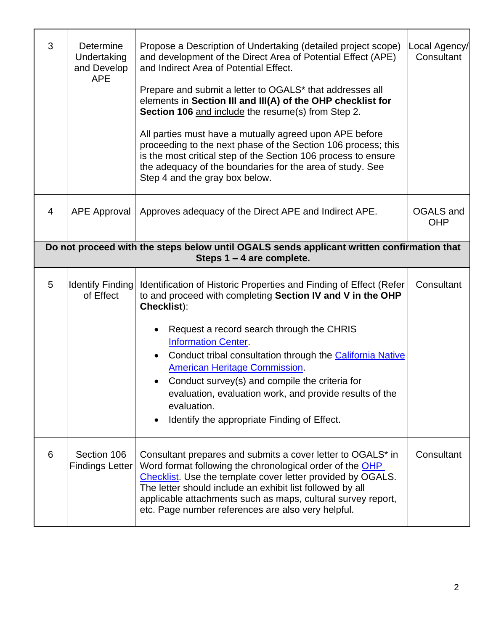| 3                                                                                                                        | Determine<br>Undertaking<br>and Develop<br><b>APE</b> | Propose a Description of Undertaking (detailed project scope)<br>and development of the Direct Area of Potential Effect (APE)<br>and Indirect Area of Potential Effect.<br>Prepare and submit a letter to OGALS* that addresses all<br>elements in Section III and III(A) of the OHP checklist for<br>Section 106 and include the resume(s) from Step 2.<br>All parties must have a mutually agreed upon APE before<br>proceeding to the next phase of the Section 106 process; this<br>is the most critical step of the Section 106 process to ensure<br>the adequacy of the boundaries for the area of study. See<br>Step 4 and the gray box below. | Local Agency/<br>Consultant    |  |  |  |
|--------------------------------------------------------------------------------------------------------------------------|-------------------------------------------------------|-------------------------------------------------------------------------------------------------------------------------------------------------------------------------------------------------------------------------------------------------------------------------------------------------------------------------------------------------------------------------------------------------------------------------------------------------------------------------------------------------------------------------------------------------------------------------------------------------------------------------------------------------------|--------------------------------|--|--|--|
| 4                                                                                                                        | APE Approval                                          | Approves adequacy of the Direct APE and Indirect APE.                                                                                                                                                                                                                                                                                                                                                                                                                                                                                                                                                                                                 | <b>OGALS</b> and<br><b>OHP</b> |  |  |  |
| Do not proceed with the steps below until OGALS sends applicant written confirmation that<br>Steps $1 - 4$ are complete. |                                                       |                                                                                                                                                                                                                                                                                                                                                                                                                                                                                                                                                                                                                                                       |                                |  |  |  |
| 5                                                                                                                        | <b>Identify Finding</b><br>of Effect                  | Identification of Historic Properties and Finding of Effect (Refer<br>to and proceed with completing Section IV and V in the OHP<br>Checklist):<br>Request a record search through the CHRIS<br><b>Information Center.</b><br>Conduct tribal consultation through the California Native<br><b>American Heritage Commission.</b><br>Conduct survey(s) and compile the criteria for<br>evaluation, evaluation work, and provide results of the<br>evaluation.<br>Identify the appropriate Finding of Effect.                                                                                                                                            | Consultant                     |  |  |  |
| 6                                                                                                                        | Section 106<br><b>Findings Letter</b>                 | Consultant prepares and submits a cover letter to OGALS* in<br>Word format following the chronological order of the OHP<br>Checklist. Use the template cover letter provided by OGALS.<br>The letter should include an exhibit list followed by all<br>applicable attachments such as maps, cultural survey report,<br>etc. Page number references are also very helpful.                                                                                                                                                                                                                                                                             | Consultant                     |  |  |  |